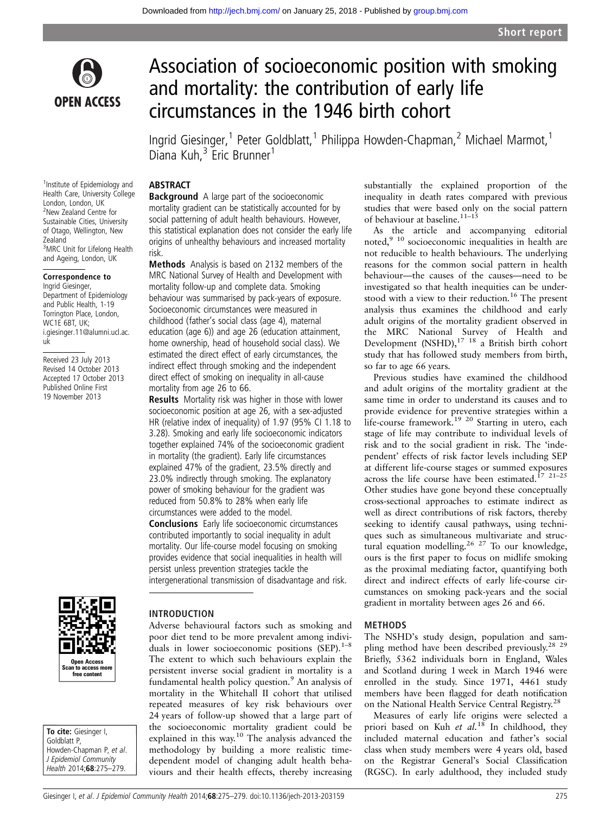

# Association of socioeconomic position with smoking and mortality: the contribution of early life circumstances in the 1946 birth cohort

Ingrid Giesinger,<sup>1</sup> Peter Goldblatt,<sup>1</sup> Philippa Howden-Chapman,<sup>2</sup> Michael Marmot,<sup>1</sup> Diana Kuh,<sup>3</sup> Eric Brunner<sup>1</sup>

<sup>1</sup> Institute of Epidemiology and Health Care, University College London, London, UK 2 New Zealand Centre for Sustainable Cities, University of Otago, Wellington, New Zealand <sup>3</sup>MRC Unit for Lifelong Health and Ageing, London, UK

#### Correspondence to

Ingrid Giesinger, Department of Epidemiology and Public Health, 1-19 Torrington Place, London, WC1E 6BT, UK; i.giesinger.11@alumni.ucl.ac. uk

Received 23 July 2013 Revised 14 October 2013 Accepted 17 October 2013 Published Online First 19 November 2013



To cite: Giesinger I, Goldblatt P, Howden-Chapman P, et al. J Epidemiol Community Health 2014;68:275-279

## **ABSTRACT**

**Background** A large part of the socioeconomic mortality gradient can be statistically accounted for by social patterning of adult health behaviours. However, this statistical explanation does not consider the early life origins of unhealthy behaviours and increased mortality risk.

Methods Analysis is based on 2132 members of the MRC National Survey of Health and Development with mortality follow-up and complete data. Smoking behaviour was summarised by pack-years of exposure. Socioeconomic circumstances were measured in childhood (father's social class (age 4), maternal education (age 6)) and age 26 (education attainment, home ownership, head of household social class). We estimated the direct effect of early circumstances, the indirect effect through smoking and the independent direct effect of smoking on inequality in all-cause mortality from age 26 to 66.

Results Mortality risk was higher in those with lower socioeconomic position at age 26, with a sex-adjusted HR (relative index of inequality) of 1.97 (95% CI 1.18 to 3.28). Smoking and early life socioeconomic indicators together explained 74% of the socioeconomic gradient in mortality (the gradient). Early life circumstances explained 47% of the gradient, 23.5% directly and 23.0% indirectly through smoking. The explanatory power of smoking behaviour for the gradient was reduced from 50.8% to 28% when early life circumstances were added to the model.

Conclusions Early life socioeconomic circumstances contributed importantly to social inequality in adult mortality. Our life-course model focusing on smoking provides evidence that social inequalities in health will persist unless prevention strategies tackle the intergenerational transmission of disadvantage and risk.

#### INTRODUCTION

Adverse behavioural factors such as smoking and poor diet tend to be more prevalent among individuals in lower socioeconomic positions  $(SEP)$ .<sup>1–8</sup> The extent to which such behaviours explain the persistent inverse social gradient in mortality is a fundamental health policy question.<sup>9</sup> An analysis of mortality in the Whitehall II cohort that utilised repeated measures of key risk behaviours over 24 years of follow-up showed that a large part of the socioeconomic mortality gradient could be explained in this way.<sup>10</sup> The analysis advanced the methodology by building a more realistic timedependent model of changing adult health behaviours and their health effects, thereby increasing substantially the explained proportion of the inequality in death rates compared with previous studies that were based only on the social pattern of behaviour at baseline.<sup>11–15</sup>

As the article and accompanying editorial noted,<sup>9 10</sup> socioeconomic inequalities in health are not reducible to health behaviours. The underlying reasons for the common social pattern in health behaviour—the causes of the causes—need to be investigated so that health inequities can be understood with a view to their reduction.<sup>16</sup> The present analysis thus examines the childhood and early adult origins of the mortality gradient observed in the MRC National Survey of Health and Development (NSHD),17 18 a British birth cohort study that has followed study members from birth, so far to age 66 years.

Previous studies have examined the childhood and adult origins of the mortality gradient at the same time in order to understand its causes and to provide evidence for preventive strategies within a life-course framework.<sup>19 20</sup> Starting in utero, each stage of life may contribute to individual levels of risk and to the social gradient in risk. The 'independent' effects of risk factor levels including SEP at different life-course stages or summed exposures across the life course have been estimated.<sup>17</sup> <sup>21-25</sup> Other studies have gone beyond these conceptually cross-sectional approaches to estimate indirect as well as direct contributions of risk factors, thereby seeking to identify causal pathways, using techniques such as simultaneous multivariate and structural equation modelling.<sup>26 27</sup> To our knowledge, ours is the first paper to focus on midlife smoking as the proximal mediating factor, quantifying both direct and indirect effects of early life-course circumstances on smoking pack-years and the social gradient in mortality between ages 26 and 66.

#### **METHODS**

The NSHD's study design, population and sampling method have been described previously.<sup>28</sup> <sup>29</sup> Briefly, 5362 individuals born in England, Wales and Scotland during 1 week in March 1946 were enrolled in the study. Since 1971, 4461 study members have been flagged for death notification on the National Health Service Central Registry.<sup>28</sup>

Measures of early life origins were selected a priori based on Kuh et  $al.^{18}$  In childhood, they included maternal education and father's social class when study members were 4 years old, based on the Registrar General's Social Classification (RGSC). In early adulthood, they included study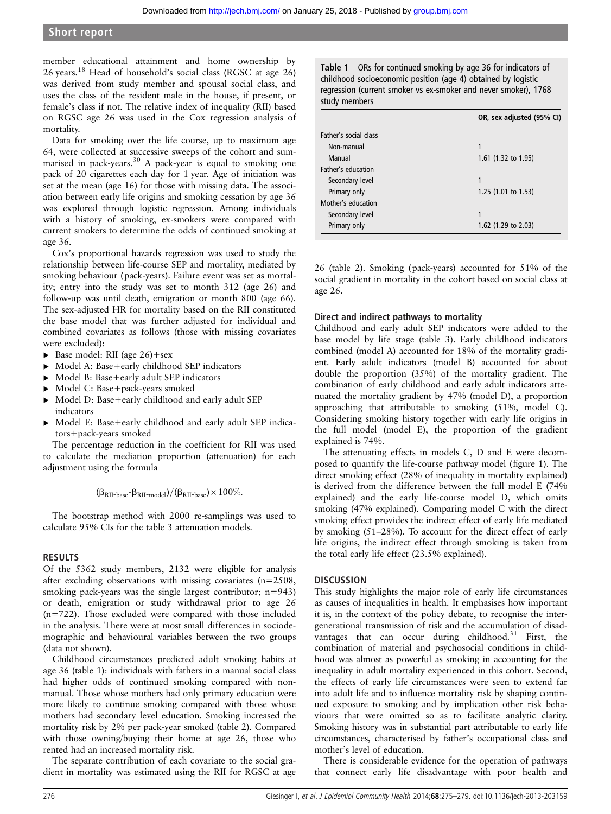#### Short report

member educational attainment and home ownership by 26 years.18 Head of household's social class (RGSC at age 26) was derived from study member and spousal social class, and uses the class of the resident male in the house, if present, or female's class if not. The relative index of inequality (RII) based on RGSC age 26 was used in the Cox regression analysis of mortality.

Data for smoking over the life course, up to maximum age 64, were collected at successive sweeps of the cohort and summarised in pack-years.<sup>30</sup> A pack-year is equal to smoking one pack of 20 cigarettes each day for 1 year. Age of initiation was set at the mean (age 16) for those with missing data. The association between early life origins and smoking cessation by age 36 was explored through logistic regression. Among individuals with a history of smoking, ex-smokers were compared with current smokers to determine the odds of continued smoking at age 36.

Cox's proportional hazards regression was used to study the relationship between life-course SEP and mortality, mediated by smoking behaviour (pack-years). Failure event was set as mortality; entry into the study was set to month 312 (age 26) and follow-up was until death, emigration or month 800 (age 66). The sex-adjusted HR for mortality based on the RII constituted the base model that was further adjusted for individual and combined covariates as follows (those with missing covariates were excluded):

- $\triangleright$  Base model: RII (age 26)+sex
- ▸ Model A: Base+early childhood SEP indicators
- ▸ Model B: Base+early adult SEP indicators
- ▸ Model C: Base+pack-years smoked
- ▸ Model D: Base+early childhood and early adult SEP indicators
- ▸ Model E: Base+early childhood and early adult SEP indicators+pack-years smoked

The percentage reduction in the coefficient for RII was used to calculate the mediation proportion (attenuation) for each adjustment using the formula

$$
(\beta_{\rm RHI\text{-}base}\text{-}\beta_{\rm RHI\text{-}model})/(\beta_{\rm RHI\text{-}base})\times 100\%.
$$

The bootstrap method with 2000 re-samplings was used to calculate 95% CIs for the table 3 attenuation models.

#### RESULTS

Of the 5362 study members, 2132 were eligible for analysis after excluding observations with missing covariates (n=2508, smoking pack-years was the single largest contributor; n=943) or death, emigration or study withdrawal prior to age 26 (n=722). Those excluded were compared with those included in the analysis. There were at most small differences in sociodemographic and behavioural variables between the two groups (data not shown).

Childhood circumstances predicted adult smoking habits at age 36 (table 1): individuals with fathers in a manual social class had higher odds of continued smoking compared with nonmanual. Those whose mothers had only primary education were more likely to continue smoking compared with those whose mothers had secondary level education. Smoking increased the mortality risk by 2% per pack-year smoked (table 2). Compared with those owning/buying their home at age 26, those who rented had an increased mortality risk.

The separate contribution of each covariate to the social gradient in mortality was estimated using the RII for RGSC at age

Table 1 ORs for continued smoking by age 36 for indicators of childhood socioeconomic position (age 4) obtained by logistic regression (current smoker vs ex-smoker and never smoker), 1768 study members

|                       | OR, sex adjusted (95% CI) |  |
|-----------------------|---------------------------|--|
| Father's social class |                           |  |
| Non-manual            |                           |  |
| Manual                | 1.61 (1.32 to 1.95)       |  |
| Father's education    |                           |  |
| Secondary level       |                           |  |
| Primary only          | 1.25 (1.01 to 1.53)       |  |
| Mother's education    |                           |  |
| Secondary level       |                           |  |
| Primary only          | 1.62 (1.29 to 2.03)       |  |

26 (table 2). Smoking (pack-years) accounted for 51% of the social gradient in mortality in the cohort based on social class at age 26.

#### Direct and indirect pathways to mortality

Childhood and early adult SEP indicators were added to the base model by life stage (table 3). Early childhood indicators combined (model A) accounted for 18% of the mortality gradient. Early adult indicators (model B) accounted for about double the proportion (35%) of the mortality gradient. The combination of early childhood and early adult indicators attenuated the mortality gradient by 47% (model D), a proportion approaching that attributable to smoking (51%, model C). Considering smoking history together with early life origins in the full model (model E), the proportion of the gradient explained is 74%.

The attenuating effects in models C, D and E were decomposed to quantify the life-course pathway model (figure 1). The direct smoking effect (28% of inequality in mortality explained) is derived from the difference between the full model E (74% explained) and the early life-course model D, which omits smoking (47% explained). Comparing model C with the direct smoking effect provides the indirect effect of early life mediated by smoking (51–28%). To account for the direct effect of early life origins, the indirect effect through smoking is taken from the total early life effect (23.5% explained).

#### **DISCUSSION**

This study highlights the major role of early life circumstances as causes of inequalities in health. It emphasises how important it is, in the context of the policy debate, to recognise the intergenerational transmission of risk and the accumulation of disadvantages that can occur during childhood. $31$  First, the combination of material and psychosocial conditions in childhood was almost as powerful as smoking in accounting for the inequality in adult mortality experienced in this cohort. Second, the effects of early life circumstances were seen to extend far into adult life and to influence mortality risk by shaping continued exposure to smoking and by implication other risk behaviours that were omitted so as to facilitate analytic clarity. Smoking history was in substantial part attributable to early life circumstances, characterised by father's occupational class and mother's level of education.

There is considerable evidence for the operation of pathways that connect early life disadvantage with poor health and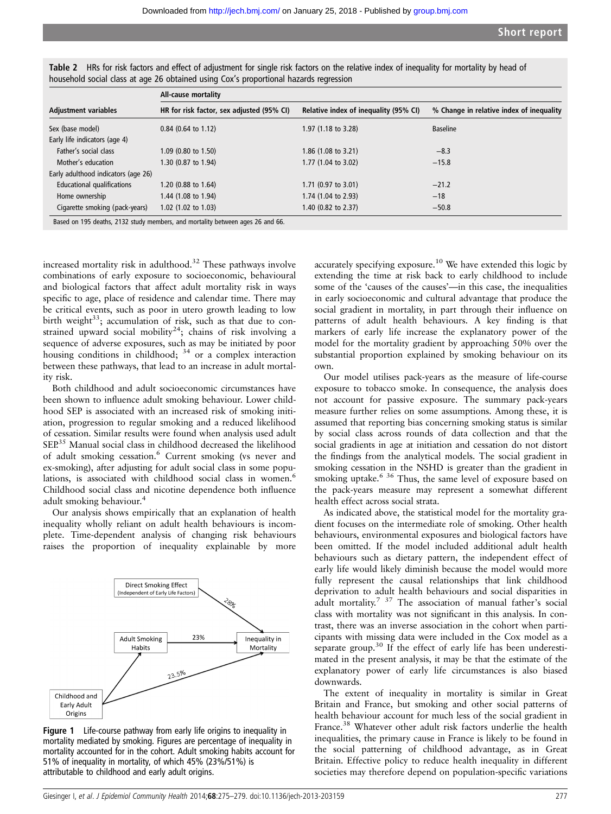|                                     | All-cause mortality                                                            |                                       |                                          |  |
|-------------------------------------|--------------------------------------------------------------------------------|---------------------------------------|------------------------------------------|--|
| <b>Adjustment variables</b>         | HR for risk factor, sex adjusted (95% CI)                                      | Relative index of inequality (95% CI) | % Change in relative index of inequality |  |
| Sex (base model)                    | $0.84$ (0.64 to 1.12)                                                          | 1.97 (1.18 to 3.28)                   | <b>Baseline</b>                          |  |
| Early life indicators (age 4)       |                                                                                |                                       |                                          |  |
| Father's social class               | 1.09 (0.80 to 1.50)                                                            | 1.86 (1.08 to 3.21)                   | $-8.3$                                   |  |
| Mother's education                  | 1.30 (0.87 to 1.94)                                                            | 1.77 (1.04 to 3.02)                   | $-15.8$                                  |  |
| Early adulthood indicators (age 26) |                                                                                |                                       |                                          |  |
| <b>Educational qualifications</b>   | 1.20 (0.88 to 1.64)                                                            | 1.71 $(0.97 \text{ to } 3.01)$        | $-21.2$                                  |  |
| Home ownership                      | 1.44 (1.08 to 1.94)                                                            | 1.74 (1.04 to 2.93)                   | $-18$                                    |  |
| Cigarette smoking (pack-years)      | 1.02 (1.02 to 1.03)                                                            | 1.40 (0.82 to 2.37)                   | $-50.8$                                  |  |
|                                     | Based on 195 deaths, 2132 study members, and mortality between ages 26 and 66. |                                       |                                          |  |

Table 2 HRs for risk factors and effect of adjustment for single risk factors on the relative index of inequality for mortality by head of household social class at age 26 obtained using Cox's proportional hazards regression

increased mortality risk in adulthood.32 These pathways involve combinations of early exposure to socioeconomic, behavioural and biological factors that affect adult mortality risk in ways specific to age, place of residence and calendar time. There may be critical events, such as poor in utero growth leading to low birth weight<sup>33</sup>; accumulation of risk, such as that due to constrained upward social mobility<sup>24</sup>; chains of risk involving a sequence of adverse exposures, such as may be initiated by poor housing conditions in childhood;  $34$  or a complex interaction between these pathways, that lead to an increase in adult mortality risk.

Both childhood and adult socioeconomic circumstances have been shown to influence adult smoking behaviour. Lower childhood SEP is associated with an increased risk of smoking initiation, progression to regular smoking and a reduced likelihood of cessation. Similar results were found when analysis used adult SEP.<sup>35</sup> Manual social class in childhood decreased the likelihood of adult smoking cessation.<sup>6</sup> Current smoking (vs never and ex-smoking), after adjusting for adult social class in some populations, is associated with childhood social class in women.<sup>6</sup> Childhood social class and nicotine dependence both influence adult smoking behaviour.<sup>4</sup>

Our analysis shows empirically that an explanation of health inequality wholly reliant on adult health behaviours is incomplete. Time-dependent analysis of changing risk behaviours raises the proportion of inequality explainable by more



Figure 1 Life-course pathway from early life origins to inequality in mortality mediated by smoking. Figures are percentage of inequality in mortality accounted for in the cohort. Adult smoking habits account for 51% of inequality in mortality, of which 45% (23%/51%) is attributable to childhood and early adult origins.

accurately specifying exposure.<sup>10</sup> We have extended this logic by extending the time at risk back to early childhood to include some of the 'causes of the causes'—in this case, the inequalities in early socioeconomic and cultural advantage that produce the social gradient in mortality, in part through their influence on patterns of adult health behaviours. A key finding is that markers of early life increase the explanatory power of the model for the mortality gradient by approaching 50% over the substantial proportion explained by smoking behaviour on its own.

Our model utilises pack-years as the measure of life-course exposure to tobacco smoke. In consequence, the analysis does not account for passive exposure. The summary pack-years measure further relies on some assumptions. Among these, it is assumed that reporting bias concerning smoking status is similar by social class across rounds of data collection and that the social gradients in age at initiation and cessation do not distort the findings from the analytical models. The social gradient in smoking cessation in the NSHD is greater than the gradient in smoking uptake.<sup>6 36</sup> Thus, the same level of exposure based on the pack-years measure may represent a somewhat different health effect across social strata.

As indicated above, the statistical model for the mortality gradient focuses on the intermediate role of smoking. Other health behaviours, environmental exposures and biological factors have been omitted. If the model included additional adult health behaviours such as dietary pattern, the independent effect of early life would likely diminish because the model would more fully represent the causal relationships that link childhood deprivation to adult health behaviours and social disparities in adult mortality.<sup>7 37</sup> The association of manual father's social class with mortality was not significant in this analysis. In contrast, there was an inverse association in the cohort when participants with missing data were included in the Cox model as a separate group.<sup>30</sup> If the effect of early life has been underestimated in the present analysis, it may be that the estimate of the explanatory power of early life circumstances is also biased downwards.

The extent of inequality in mortality is similar in Great Britain and France, but smoking and other social patterns of health behaviour account for much less of the social gradient in France.<sup>38</sup> Whatever other adult risk factors underlie the health inequalities, the primary cause in France is likely to be found in the social patterning of childhood advantage, as in Great Britain. Effective policy to reduce health inequality in different societies may therefore depend on population-specific variations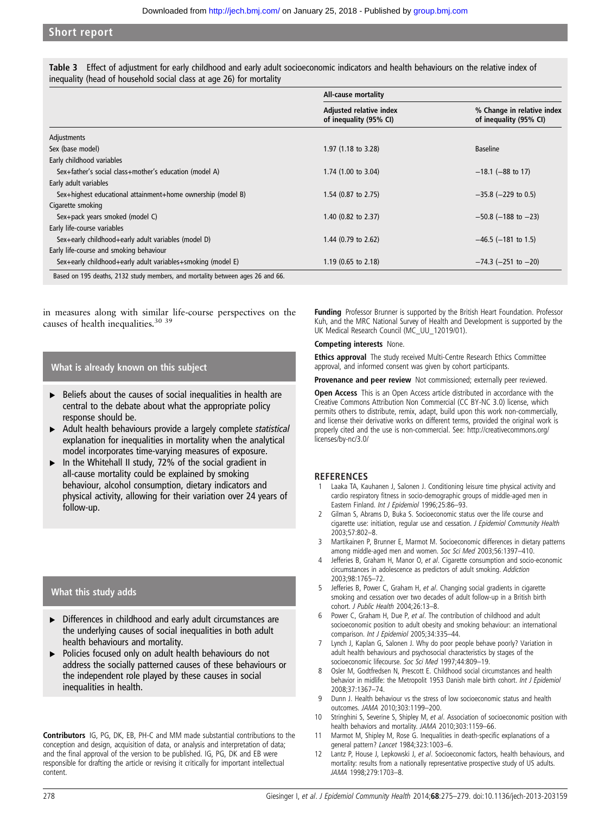#### Short report

Table 3 Effect of adjustment for early childhood and early adult socioeconomic indicators and health behaviours on the relative index of inequality (head of household social class at age 26) for mortality

|                                                             | <b>All-cause mortality</b>                        |                                                      |  |
|-------------------------------------------------------------|---------------------------------------------------|------------------------------------------------------|--|
|                                                             | Adjusted relative index<br>of inequality (95% CI) | % Change in relative index<br>of inequality (95% CI) |  |
| Adjustments                                                 |                                                   |                                                      |  |
| Sex (base model)                                            | 1.97 (1.18 to 3.28)                               | <b>Baseline</b>                                      |  |
| Early childhood variables                                   |                                                   |                                                      |  |
| Sex+father's social class+mother's education (model A)      | 1.74 (1.00 to 3.04)                               | $-18.1$ ( $-88$ to 17)                               |  |
| Early adult variables                                       |                                                   |                                                      |  |
| Sex+highest educational attainment+home ownership (model B) | 1.54 $(0.87 \text{ to } 2.75)$                    | $-35.8$ ( $-229$ to 0.5)                             |  |
| Cigarette smoking                                           |                                                   |                                                      |  |
| Sex+pack years smoked (model C)                             | 1.40 (0.82 to 2.37)                               | $-50.8$ ( $-188$ to $-23$ )                          |  |
| Early life-course variables                                 |                                                   |                                                      |  |
| Sex+early childhood+early adult variables (model D)         | 1.44 (0.79 to 2.62)                               | $-46.5$ ( $-181$ to 1.5)                             |  |
| Early life-course and smoking behaviour                     |                                                   |                                                      |  |
| Sex+early childhood+early adult variables+smoking (model E) | 1.19 (0.65 to 2.18)                               | $-74.3$ ( $-251$ to $-20$ )                          |  |

in measures along with similar life-course perspectives on the causes of health inequalities.<sup>30</sup> 39

#### What is already known on this subject

- $\triangleright$  Beliefs about the causes of social inequalities in health are central to the debate about what the appropriate policy response should be.
- ▸ Adult health behaviours provide a largely complete statistical explanation for inequalities in mortality when the analytical model incorporates time-varying measures of exposure.
- In the Whitehall II study, 72% of the social gradient in all-cause mortality could be explained by smoking behaviour, alcohol consumption, dietary indicators and physical activity, allowing for their variation over 24 years of follow-up.

#### What this study adds

- ▸ Differences in childhood and early adult circumstances are the underlying causes of social inequalities in both adult health behaviours and mortality.
- Policies focused only on adult health behaviours do not address the socially patterned causes of these behaviours or the independent role played by these causes in social inequalities in health.

Contributors IG, PG, DK, EB, PH-C and MM made substantial contributions to the conception and design, acquisition of data, or analysis and interpretation of data; and the final approval of the version to be published. IG, PG, DK and EB were responsible for drafting the article or revising it critically for important intellectual content.

Funding Professor Brunner is supported by the British Heart Foundation. Professor Kuh, and the MRC National Survey of Health and Development is supported by the UK Medical Research Council (MC\_UU\_12019/01).

#### Competing interests None.

Ethics approval The study received Multi-Centre Research Ethics Committee approval, and informed consent was given by cohort participants.

Provenance and peer review Not commissioned; externally peer reviewed.

Open Access This is an Open Access article distributed in accordance with the Creative Commons Attribution Non Commercial (CC BY-NC 3.0) license, which permits others to distribute, remix, adapt, build upon this work non-commercially, and license their derivative works on different terms, provided the original work is properly cited and the use is non-commercial. See: [http://creativecommons.org/](http://creativecommons.org/licenses/by-nc/3.0/) [licenses/by-nc/3.0/](http://creativecommons.org/licenses/by-nc/3.0/)

#### **REFERENCES**

- Laaka TA, Kauhanen J, Salonen J. Conditioning leisure time physical activity and cardio respiratory fitness in socio-demographic groups of middle-aged men in Eastern Finland. Int J Epidemiol 1996;25:86–93.
- 2 Gilman S, Abrams D, Buka S. Socioeconomic status over the life course and cigarette use: initiation, regular use and cessation. J Epidemiol Community Health 2003;57:802–8.
- 3 Martikainen P, Brunner E, Marmot M. Socioeconomic differences in dietary patterns among middle-aged men and women. Soc Sci Med 2003;56:1397–410.
- 4 Jefferies B, Graham H, Manor O, et al. Cigarette consumption and socio-economic circumstances in adolescence as predictors of adult smoking. Addiction 2003;98:1765–72.
- 5 Jefferies B, Power C, Graham H, et al. Changing social gradients in cigarette smoking and cessation over two decades of adult follow-up in a British birth cohort. J Public Health 2004;26:13–8.
- 6 Power C, Graham H, Due P, et al. The contribution of childhood and adult socioeconomic position to adult obesity and smoking behaviour: an international comparison. Int J Epidemiol 2005;34:335-44.
- 7 Lynch J, Kaplan G, Salonen J. Why do poor people behave poorly? Variation in adult health behaviours and psychosocial characteristics by stages of the socioeconomic lifecourse. Soc Sci Med 1997;44:809–19.
- 8 Osler M, Godtfredsen N, Prescott E. Childhood social circumstances and health behavior in midlife: the Metropolit 1953 Danish male birth cohort. Int J Epidemiol 2008;37:1367–74.
- 9 Dunn J. Health behaviour vs the stress of low socioeconomic status and health outcomes. JAMA 2010;303:1199–200.
- 10 Stringhini S, Severine S, Shipley M, et al. Association of socioeconomic position with health behaviors and mortality. JAMA 2010;303:1159–66.
- 11 Marmot M, Shipley M, Rose G. Inequalities in death-specific explanations of a general pattern? Lancet 1984;323:1003–6.
- Lantz P, House J, Lepkowski J, et al. Socioeconomic factors, health behaviours, and mortality: results from a nationally representative prospective study of US adults. JAMA 1998;279:1703–8.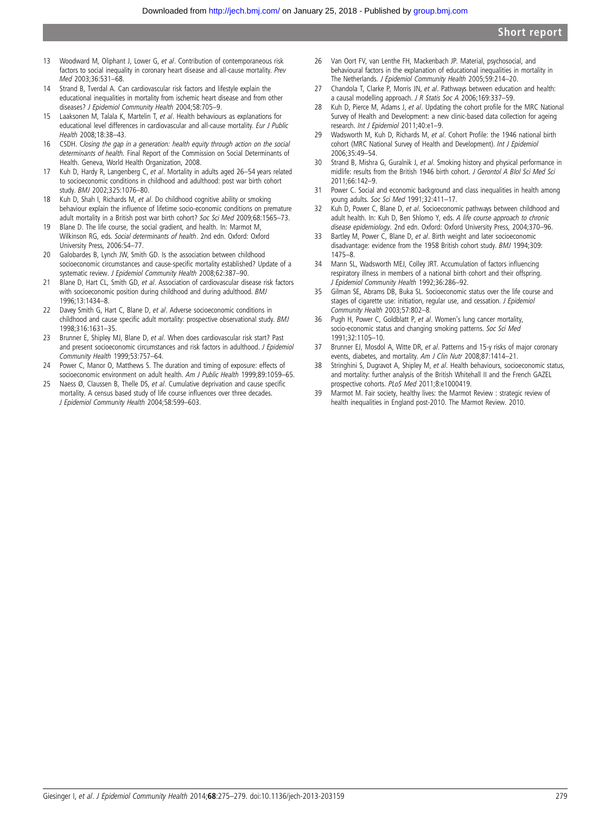- 13 Woodward M, Oliphant J, Lower G, et al. Contribution of contemporaneous risk factors to social inequality in coronary heart disease and all-cause mortality. Prev Med 2003;36:531–68.
- 14 Strand B, Tverdal A. Can cardiovascular risk factors and lifestyle explain the educational inequalities in mortality from ischemic heart disease and from other diseases? J Epidemiol Community Health 2004;58:705–9.
- Laaksonen M, Talala K, Martelin T, et al. Health behaviours as explanations for educational level differences in cardiovascular and all-cause mortality. Eur J Public Health 2008;18:38–43.
- 16 CSDH. Closing the gap in a generation: health equity through action on the social determinants of health. Final Report of the Commission on Social Determinants of Health. Geneva, World Health Organization, 2008.
- 17 Kuh D, Hardy R, Langenberg C, et al. Mortality in adults aged 26–54 years related to socioeconomic conditions in childhood and adulthood: post war birth cohort study. BMJ 2002;325:1076–80.
- 18 Kuh D, Shah I, Richards M, et al. Do childhood cognitive ability or smoking behaviour explain the influence of lifetime socio-economic conditions on premature adult mortality in a British post war birth cohort? Soc Sci Med 2009;68:1565–73.
- 19 Blane D. The life course, the social gradient, and health. In: Marmot M, Wilkinson RG, eds. Social determinants of health. 2nd edn. Oxford: Oxford University Press, 2006:54–77.
- 20 Galobardes B, Lynch JW, Smith GD. Is the association between childhood socioeconomic circumstances and cause-specific mortality established? Update of a systematic review. J Epidemiol Community Health 2008;62:387–90.
- 21 Blane D, Hart CL, Smith GD, et al. Association of cardiovascular disease risk factors with socioeconomic position during childhood and during adulthood. BMJ 1996;13:1434–8.
- 22 Davey Smith G, Hart C, Blane D, et al. Adverse socioeconomic conditions in childhood and cause specific adult mortality: prospective observational study. BMJ 1998;316:1631–35.
- 23 Brunner E, Shipley MJ, Blane D, et al. When does cardiovascular risk start? Past and present socioeconomic circumstances and risk factors in adulthood. J Epidemiol Community Health 1999;53:757–64.
- 24 Power C, Manor O, Matthews S. The duration and timing of exposure: effects of socioeconomic environment on adult health. Am J Public Health 1999;89:1059-65.
- 25 Naess Ø, Claussen B, Thelle DS, et al. Cumulative deprivation and cause specific mortality. A census based study of life course influences over three decades. J Epidemiol Community Health 2004;58:599–603.
- 26 Van Oort FV, van Lenthe FH, Mackenbach JP. Material, psychosocial, and behavioural factors in the explanation of educational inequalities in mortality in The Netherlands. J Epidemiol Community Health 2005;59:214–20.
- 27 Chandola T, Clarke P, Morris JN, et al. Pathways between education and health: a causal modelling approach. J R Statis Soc A 2006;169:337–59.
- 28 Kuh D, Pierce M, Adams J, et al. Updating the cohort profile for the MRC National Survey of Health and Development: a new clinic-based data collection for ageing research. Int J Epidemiol 2011;40:e1–9.
- 29 Wadsworth M, Kuh D, Richards M, et al. Cohort Profile: the 1946 national birth cohort (MRC National Survey of Health and Development). Int J Epidemiol 2006;35:49–54.
- 30 Strand B, Mishra G, Guralnik J, et al. Smoking history and physical performance in midlife: results from the British 1946 birth cohort. J Gerontol A BIol Sci Med Sci 2011;66:142–9.
- 31 Power C. Social and economic background and class inequalities in health among young adults. Soc Sci Med 1991;32:411–17.
- 32 Kuh D, Power C, Blane D, et al. Socioeconomic pathways between childhood and adult health. In: Kuh D, Ben Shlomo Y, eds. A life course approach to chronic disease epidemiology. 2nd edn. Oxford: Oxford University Press, 2004;370–96.
- 33 Bartley M, Power C, Blane D, et al. Birth weight and later socioeconomic disadvantage: evidence from the 1958 British cohort study. BMJ 1994;309: 1475–8.
- 34 Mann SL, Wadsworth MEJ, Colley JRT. Accumulation of factors influencing respiratory illness in members of a national birth cohort and their offspring. J Epidemiol Community Health 1992;36:286–92.
- 35 Gilman SE, Abrams DB, Buka SL. Socioeconomic status over the life course and stages of cigarette use: initiation, regular use, and cessation. J Epidemiol Community Health 2003;57:802–8.
- 36 Pugh H, Power C, Goldblatt P, et al. Women's lung cancer mortality, socio-economic status and changing smoking patterns. Soc Sci Med 1991;32:1105–10.
- 37 Brunner EJ, Mosdol A, Witte DR, et al. Patterns and 15-y risks of major coronary events, diabetes, and mortality. Am J Clin Nutr 2008;87:1414–21.
- 38 Stringhini S, Dugravot A, Shipley M, et al. Health behaviours, socioeconomic status, and mortality: further analysis of the British Whitehall II and the French GAZEL prospective cohorts. PLoS Med 2011;8:e1000419.
- 39 Marmot M. Fair society, healthy lives: the Marmot Review : strategic review of health inequalities in England post-2010. The Marmot Review. 2010.